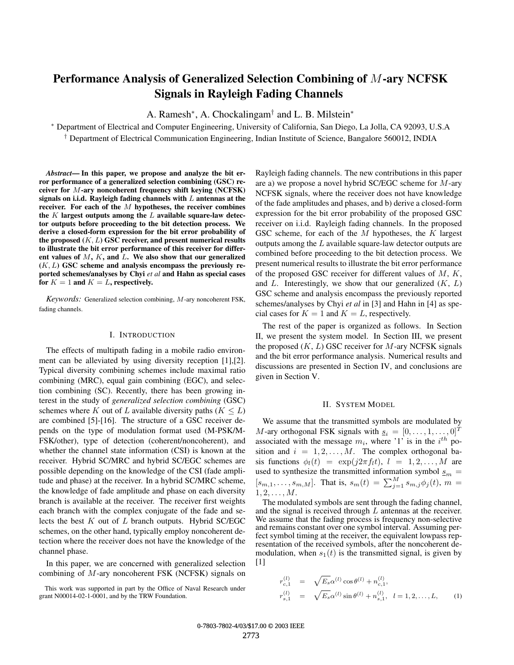# **Performance Analysis of Generalized Selection Combining of** M**-ary NCFSK Signals in Rayleigh Fading Channels**

A. Ramesh∗, A. Chockalingam† and L. B. Milstein<sup>∗</sup>

∗ Department of Electrical and Computer Engineering, University of California, San Diego, La Jolla, CA 92093, U.S.A † Department of Electrical Communication Engineering, Indian Institute of Science, Bangalore 560012, INDIA

Abstract—In this paper, we propose and analyze the bit er**ror performance of a generalized selection combining (GSC) receiver for** *M***-ary noncoherent frequency shift keying (NCFSK) signals on i.i.d. Rayleigh fading channels with** *L* **antennas at the** receiver. For each of the *M* hypotheses, the receiver combines **the** *K* **largest outputs among the** *L* **available square-law detector outputs before proceeding to the bit detection process. We derive a closed-form expression for the bit error probability of** the proposed  $(K, L)$  GSC receiver, and present numerical results **to illustrate the bit error performance of this receiver for differ**ent values of  $M$ ,  $K$ , and  $L$ . We also show that our generalized **(***K, L***) GSC scheme and analysis encompass the previously reported schemes/analyses by Chyi** *et al* **and Hahn as special cases** for  $K = 1$  and  $K = L$ , respectively.

*Keywords:* Generalized selection combining, M-ary noncoherent FSK, fading channels.

#### I. INTRODUCTION

The effects of multipath fading in a mobile radio environment can be alleviated by using diversity reception [1],[2]. Typical diversity combining schemes include maximal ratio combining (MRC), equal gain combining (EGC), and selection combining (SC). Recently, there has been growing interest in the study of *generalized selection combining* (GSC) schemes where K out of L available diversity paths ( $K \leq L$ ) are combined [5]-[16]. The structure of a GSC receiver depends on the type of modulation format used (M-PSK/M-FSK/other), type of detection (coherent/noncoherent), and whether the channel state information (CSI) is known at the receiver. Hybrid SC/MRC and hybrid SC/EGC schemes are possible depending on the knowledge of the CSI (fade amplitude and phase) at the receiver. In a hybrid SC/MRC scheme, the knowledge of fade amplitude and phase on each diversity branch is available at the receiver. The receiver first weights each branch with the complex conjugate of the fade and selects the best  $K$  out of  $L$  branch outputs. Hybrid SC/EGC schemes, on the other hand, typically employ noncoherent detection where the receiver does not have the knowledge of the channel phase.

In this paper, we are concerned with generalized selection combining of M-ary noncoherent FSK (NCFSK) signals on

Rayleigh fading channels. The new contributions in this paper are a) we propose a novel hybrid SC/EGC scheme for M-ary NCFSK signals, where the receiver does not have knowledge of the fade amplitudes and phases, and b) derive a closed-form expression for the bit error probability of the proposed GSC receiver on i.i.d. Rayleigh fading channels. In the proposed GSC scheme, for each of the  $M$  hypotheses, the  $K$  largest outputs among the L available square-law detector outputs are combined before proceeding to the bit detection process. We present numerical results to illustrate the bit error performance of the proposed GSC receiver for different values of  $M, K$ , and  $L$ . Interestingly, we show that our generalized  $(K, L)$ GSC scheme and analysis encompass the previously reported schemes/analyses by Chyi *et al* in [3] and Hahn in [4] as special cases for  $K = 1$  and  $K = L$ , respectively.

The rest of the paper is organized as follows. In Section II, we present the system model. In Section III, we present the proposed  $(K, L)$  GSC receiver for M-ary NCFSK signals and the bit error performance analysis. Numerical results and discussions are presented in Section IV, and conclusions are given in Section V.

#### II. SYSTEM MODEL

We assume that the transmitted symbols are modulated by M-ary orthogonal FSK signals with  $s_i = [0, \ldots, 1, \ldots, 0]^T$ associated with the message  $m_i$ , where '1' is in the  $i^{th}$  position and  $i = 1, 2, \ldots, M$ . The complex orthogonal basis functions  $\phi_l(t) = \exp(j2\pi f_l t), l = 1, 2, ..., M$  are used to synthesize the transmitted information symbol  $\underline{s}_m =$  $[s_{m,1},...,s_{m,M}]$ . That is,  $s_m(t) = \sum_{j=1}^{M} s_{m,j} \phi_j(t)$ ,  $m =$  $1, 2, \ldots, M$ .

The modulated symbols are sent through the fading channel, and the signal is received through L antennas at the receiver. We assume that the fading process is frequency non-selective and remains constant over one symbol interval. Assuming perfect symbol timing at the receiver, the equivalent lowpass representation of the received symbols, after the noncoherent demodulation, when  $s_1(t)$  is the transmitted signal, is given by [1]

$$
r_{c,1}^{(l)} = \sqrt{E_s} \alpha^{(l)} \cos \theta^{(l)} + n_{c,1}^{(l)},
$$
  
\n
$$
r_{s,1}^{(l)} = \sqrt{E_s} \alpha^{(l)} \sin \theta^{(l)} + n_{s,1}^{(l)}, \quad l = 1, 2, ..., L,
$$
 (1)

This work was supported in part by the Office of Naval Research under grant N00014-02-1-0001, and by the TRW Foundation.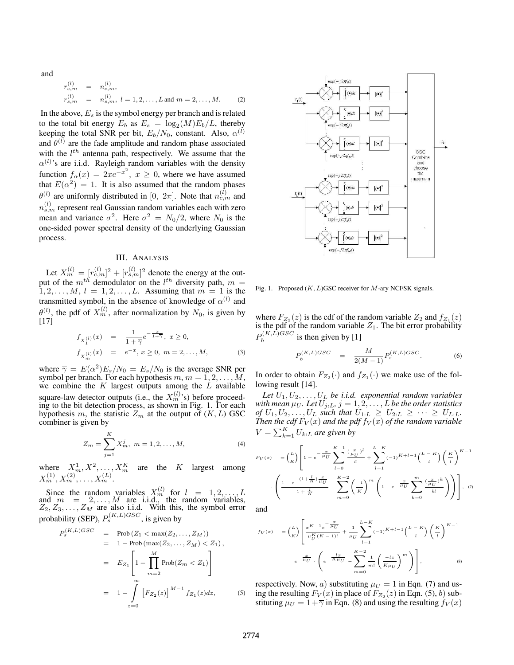and

$$
r_{c,m}^{(l)} = n_{c,m}^{(l)},
$$
  
\n
$$
r_{s,m}^{(l)} = n_{s,m}^{(l)}, l = 1, 2, ..., L \text{ and } m = 2, ..., M.
$$
 (2)

In the above,  $E_s$  is the symbol energy per branch and is related to the total bit energy  $E_b$  as  $E_s = \log_2(M)E_b/L$ , thereby keeping the total SNR per bit,  $E_b/N_0$ , constant. Also,  $\alpha^{(l)}$ and  $\theta^{(l)}$  are the fade amplitude and random phase associated with the  $l^{th}$  antenna path, respectively. We assume that the  $\alpha^{(l)}$ 's are i.i.d. Rayleigh random variables with the density function  $f_{\alpha}(x)=2xe^{-x^2}$ <br>that  $E(\alpha^2)=1$  It is als  $, x \geq 0$ , where we have assumed<br>a assumed that the random phases that  $E(\alpha^2)=1$ . It is also assumed that the random phases  $a^{(l)}$  are uniformly distributed in [0, 0,-]. Note that  $a^{(l)}$  and  $\theta^{(l)}$  are uniformly distributed in  $[0, 2\pi]$ . Note that  $n_{c,m}^{(l)}$  and  $n_{s,m}^{(l)}$  represent real Gaussian random variables each with zero mean and variance  $\sigma^2$ . Here  $\sigma^2 = N_0/2$ , where  $N_0$  is the one-sided power spectral density of the underlying Gaussian process.

## III. ANALYSIS

Let  $X_m^{(l)} = [r_m^{(l)}]^2 + [r_m^{(l)}]^2$  denote the energy at the out-<br>that of the *m*<sup>th</sup> demodulator on the *l*<sup>th</sup> diversity path  $m =$ put of the  $m^{th}$  demodulator on the  $l^{th}$  diversity path,  $m = 1, 2, ..., M, l = 1, 2, ..., L$ . Assuming that  $m = 1$  is the  $1, 2, \ldots, M, l = 1, 2, \ldots, L$ . Assuming that  $m = 1$  is the transmitted symbol, in the absence of knowledge of  $\alpha^{(l)}$  and  $\theta^{(l)}$ , the pdf of  $X_m^{(l)}$ , after normalization by  $N_0$ , is given by [17]

$$
f_{X_1^{(1)}}(x) = \frac{1}{1+\overline{\gamma}} e^{-\frac{x}{1+\overline{\gamma}}}, \ x \ge 0,
$$
  

$$
f_{X_m^{(1)}}(x) = e^{-x}, \ x \ge 0, \ m = 2, ..., M,
$$
 (3)

where  $\overline{\gamma} = E(\alpha^2)E_s/N_0 = E_s/N_0$  is the average SNR per symbol per branch. For each hypothesis  $m, m = 1, 2, \ldots, M$ , we combine the  $K$  largest outputs among the  $L$  available square-law detector outputs (i.e., the  $X_m^{(l)}$ 's) before proceeding to the bit detection process, as shown in Fig. 1. For each hypothesis m, the statistic  $Z_m$  at the output of  $(K, L)$  GSC combiner is given by

$$
Z_m = \sum_{j=1}^{K} X_m^j, \ m = 1, 2, \dots, M,
$$
 (4)

where  $X_m^1, X^2, \ldots, X_m^K$  are the K largest among  $X_m^{(1)}, X_m^{(2)}, \ldots, X_m^{(L)}.$ 

Since the random variables  $X_m^{(l)}$  for  $l = 1, 2, ..., L$ <br>d  $m = 2, ..., M$  are i.i.d., the random variables, and  $m = 2, ..., M$  are i.i.d., the random variables,  $Z_2, Z_3, ..., Z_M$  are also i.i.d. With this, the symbol error probability (SEP),  $P_s^{(K,L)GSC}$ , is given by

$$
P_s^{(K,L)GSC} = \text{Prob}(Z_1 < \max(Z_2, \dots, Z_M))
$$
\n
$$
= 1 - \text{Prob}(\max(Z_2, \dots, Z_M) < Z_1),
$$
\n
$$
= E_{Z_1} \left[ 1 - \prod_{m=2}^M \text{Prob}(Z_m < Z_1) \right]
$$
\n
$$
= 1 - \int_{z=0}^\infty \left[ F_{Z_2}(z) \right]^{M-1} f_{Z_1}(z) dz, \tag{5}
$$



Fig. 1. Proposed  $(K, L)$ GSC receiver for M-ary NCFSK signals.

where  $F_{Z_2}(z)$  is the cdf of the random variable  $Z_2$  and  $f_{Z_1}(z)$ is the pdf of the random variable  $Z_1$ . The bit error probability  $P_b^{(K,L)GSC}$  is then given by [1]

$$
P_b^{(K,L)GSC} = \frac{M}{2(M-1)} P_s^{(K,L)GSC}.
$$
 (6)

In order to obtain  $F_{Z_2}(\cdot)$  and  $f_{Z_1}(\cdot)$  we make use of the following result [14].

*Let* U1, U2,...,U<sup>L</sup> *be i.i.d. exponential random variables with mean*  $\mu_U$ *. Let*  $U_{j:L}$ *,*  $j = 1, 2, \ldots, L$  *be the order statistics* of  $U_1, U_2, \ldots, U_L$  such that  $U_{1:L} > U_{2:L} > \cdots > U_{L,L}$ *of*  $U_1, U_2, \ldots, U_L$  *such that*  $U_{1:L} \geq U_{2:L} \geq \cdots \geq U_{L:L}$ . *Then the cdf*  $F_V(x)$  *and the pdf*  $f_V(x)$  *of the random variable*<br> $V = \sum_{k=0}^{K} H_V(x)$  *are given by*  $V = \sum_{k=1}^{K} U_{k:L}$  are given by

$$
F_V(x) = \binom{L}{K} \left[ 1 - e^{-\frac{x}{\mu_U}} \sum_{l=0}^{K-1} \frac{\left(\frac{x}{\mu_U}\right)^l}{l!} + \sum_{l=1}^{L-K} (-1)^{K+l-1} \binom{L-K}{l} \left(\frac{K}{l}\right)^{K-1} \right]
$$

$$
\cdot \left( \frac{1 - e^{-\left(1 + \frac{L}{K}\right)\frac{x}{\mu_U}}}{1 + \frac{L}{K}} - \sum_{m=0}^{K-2} \left(\frac{-l}{K}\right)^m \left( 1 - e^{-\frac{x}{\mu_U}} \sum_{k=0}^m \frac{\left(\frac{x}{\mu_U}\right)^k}{k!} \right) \right), \quad (7)
$$

and

$$
f_V(x) = {L \choose K} \left[ \frac{x^{K-1} e^{-\frac{x}{\mu_U}}}{\mu_U^K (K-1)!} + \frac{1}{\mu_U} \sum_{l=1}^{L-K} (-1)^{K+l-1} {L-K \choose l} \left( \frac{K}{l} \right)^{K-1} \right]
$$

$$
e^{-\frac{x}{\mu_U}} \cdot \left( e^{-\frac{lx}{K\mu_U}} - \sum_{m=0}^{K-2} \frac{1}{m!} \left( \frac{-lx}{K\mu_U} \right)^m \right),
$$
(8)

respectively. Now, a) substituting  $\mu_U = 1$  in Eqn. (7) and using the resulting  $F_V(x)$  in place of  $F_{Z_2}(z)$  in Eqn. (5), b) substituting  $\mu_U = 1 + \overline{\gamma}$  in Eqn. (8) and using the resulting  $f_V(x)$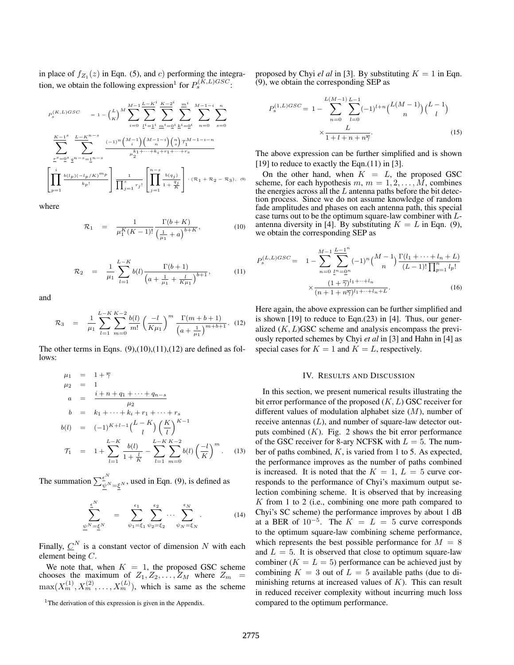in place of  $f_{Z_1}(z)$  in Eqn. (5), and c) performing the integration, we obtain the following expression<sup>1</sup> for  $P_s^{(K,L)GSC}$ :

$$
\label{eq:3.10} \begin{array}{ll} P_{s}^{(K,L)GSC} &\displaystyle =1-\binom{L}{K}^{M}\sum_{i=0}^{M-1}\sum_{\underline{l}^{i}=\underline{1}^{i}}^{\underline{K}-\underline{2}^{i}}\sum_{\underline{m}^{i}=\underline{0}^{i}}^{\underline{m}^{i}}\sum_{n=0}^{M-1-i}\sum_{s=0}^{n} \\ &\displaystyle \sum_{\underline{r}^{s}=\underline{0}^{s}}^{\underline{K}-\underline{1}^{s}}\sum_{\underline{q}^{n-s}=\underline{1}^{n-s}}^{\underline{L}-\underline{K}^{n-s}}\frac{(-1)^{n}\binom{M-1}{i}\binom{M-1-i}{n}\binom{n}{s}\mathcal{T}_{1}^{M-1-i-n}}{\mu_{2}^{k_{1}+\cdots+k_{i}+r_{1}+\cdots+r_{s}}} \\ &\left[\prod_{p=1}^{i}\frac{b(l_{p})(-l_{p}/K)^{m_{p}}}{k_{p}!}\right]\frac{1}{\prod_{j=1}^{s}r_{j}!}\left[\prod_{j=1}^{n-s}\frac{b(q_{j})}{1+\frac{q_{j}}{K}}\right]\cdot(\mathcal{R}_{1}+\mathcal{R}_{2}-\mathcal{R}_{3}),\ 0 \end{array}
$$

where

$$
\mathcal{R}_1 = \frac{1}{\mu_1^K (K-1)!} \frac{\Gamma(b+K)}{\left(\frac{1}{\mu_1} + a\right)^{b+K}},\tag{10}
$$

$$
\mathcal{R}_2 = \frac{1}{\mu_1} \sum_{l=1}^{L-K} b(l) \frac{\Gamma(b+1)}{\left(a + \frac{1}{\mu_1} + \frac{l}{K\mu_1}\right)^{b+1}},\tag{11}
$$

and

$$
\mathcal{R}_3 = \frac{1}{\mu_1} \sum_{l=1}^{L-K} \sum_{m=0}^{K-2} \frac{b(l)}{m!} \left(\frac{-l}{K\mu_1}\right)^m \frac{\Gamma(m+b+1)}{\left(a+\frac{1}{\mu_1}\right)^{m+b+1}}.
$$
 (12)

The other terms in Eqns.  $(9)$ , $(10)$ , $(11)$ , $(12)$  are defined as follows:

$$
\mu_1 = 1 + \overline{\gamma}
$$
\n
$$
\mu_2 = 1
$$
\n
$$
a = \frac{i + n + q_1 + \dots + q_{n-s}}{\mu_2}
$$
\n
$$
b = k_1 + \dots + k_i + r_1 + \dots + r_s
$$
\n
$$
b(l) = (-1)^{K+l-1} {L-K \choose l} \left(\frac{K}{l}\right)^{K-1}
$$
\n
$$
\mathcal{T}_1 = 1 + \sum_{l=1}^{L-K} \frac{b(l)}{1 + \frac{l}{K}} - \sum_{l=1}^{L-K} \sum_{m=0}^{K-2} b(l) \left(\frac{-l}{K}\right)^m. \quad (13)
$$

The summation  $\sum_{\psi}^{\epsilon^N}$ <sub> $\psi_{N=\xi^N}$ </sub>, used in Eqn. (9), is defined as

$$
\sum_{\underline{\psi}^N=\underline{\xi}^N}^{\underline{\epsilon}^N} = \sum_{\psi_1=\xi_1}^{\epsilon_1} \sum_{\psi_2=\xi_2}^{\epsilon_2} \cdots \sum_{\psi_N=\xi_N}^{\epsilon_N} . \tag{14}
$$

Finally,  $\underline{C}^N$  is a constant vector of dimension N with each element being C.

We note that, when  $K = 1$ , the proposed GSC scheme<br>cooses the maximum of  $Z_1, Z_2, \ldots, Z_M$  where  $Z_m =$ chooses the maximum of  $Z_1, Z_2, \ldots, Z_M$  where  $Z_m =$ <br>mov $(Y^{(1)} \ Y^{(2)} \ Y^{(L)})$  which is some as the scheme  $\max(X_m^{(1)}, X_m^{(2)}, \ldots, X_m^{(L)})$ , which is same as the scheme proposed by Chyi *el al* in [3]. By substituting  $K = 1$  in Eqn. (9), we obtain the corresponding SEP as

$$
P_s^{(1,L)GSC} = 1 - \sum_{n=0}^{L(M-1)} \sum_{l=0}^{L-1} (-1)^{l+n} {L(M-1) \choose n} {L-1 \choose l}
$$

$$
\times \frac{L}{1 + l + n + n\overline{\gamma}}.
$$
(15)

The above expression can be further simplified and is shown  $[19]$  to reduce to exactly the Eqn. $(11)$  in  $[3]$ .

On the other hand, when  $K = L$ , the proposed GSC scheme, for each hypothesis  $m, m = 1, 2, \ldots, \tilde{M}$ , combines the energies across all the  $L$  antenna paths before the bit detection process. Since we do not assume knowledge of random fade amplitudes and phases on each antenna path, this special case turns out to be the optimum square-law combiner with Lantenna diversity in [4]. By substituting  $K = L$  in Eqn. (9), we obtain the corresponding SEP as

$$
P_s^{(L,L)GSC} = 1 - \sum_{n=0}^{M-1} \sum_{\underline{l}^n = \underline{0}^n}^{L-1^n} (-1)^n {M-1 \choose n} \frac{\Gamma(l_1 + \dots + l_n + L)}{(L-1)! \prod_{p=1}^n l_p!} \times \frac{(1+\overline{\gamma})^{l_1 + \dots + l_n}}{(n+1+n\overline{\gamma})^{l_1 + \dots + l_n + L}}.
$$
 (16)

Here again, the above expression can be further simplified and is shown [19] to reduce to Eqn.(23) in [4]. Thus, our generalized  $(K, L)$ GSC scheme and analysis encompass the previously reported schemes by Chyi *et al* in [3] and Hahn in [4] as special cases for  $K = 1$  and  $K = L$ , respectively.

#### IV. RESULTS AND DISCUSSION

In this section, we present numerical results illustrating the bit error performance of the proposed  $(K, L)$  GSC receiver for different values of modulation alphabet size  $(M)$ , number of receive antennas  $(L)$ , and number of square-law detector outputs combined  $(K)$ . Fig. 2 shows the bit error performance of the GSC receiver for 8-ary NCFSK with  $L = 5$ . The number of paths combined,  $K$ , is varied from 1 to 5. As expected, the performance improves as the number of paths combined is increased. It is noted that the  $K = 1$ ,  $L = 5$  curve corresponds to the performance of Chyi's maximum output selection combining scheme. It is observed that by increasing  $K$  from 1 to 2 (i.e., combining one more path compared to Chyi's SC scheme) the performance improves by about 1 dB at a BER of  $10^{-5}$ . The  $K = L = 5$  curve corresponds to the optimum square-law combining scheme performance, which represents the best possible performance for  $M = 8$ and  $L = 5$ . It is observed that close to optimum square-law combiner ( $K = L = 5$ ) performance can be achieved just by combining  $K = 3$  out of  $L = 5$  available paths (due to diminishing returns at increased values of  $K$ ). This can result in reduced receiver complexity without incurring much loss compared to the optimum performance.

<sup>&</sup>lt;sup>1</sup>The derivation of this expression is given in the Appendix.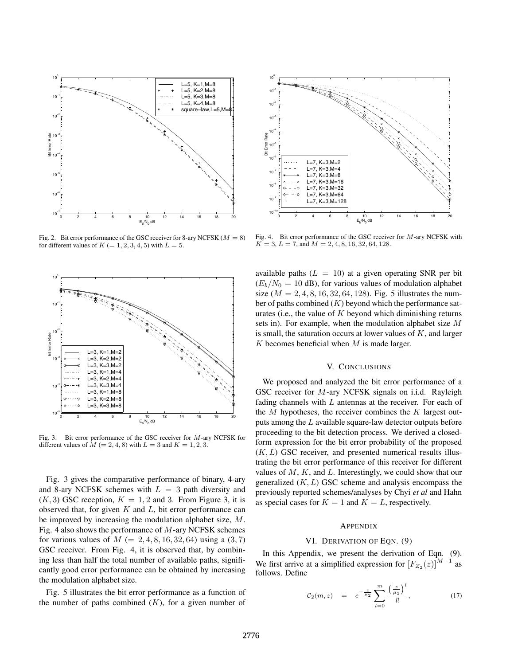

Fig. 2. Bit error performance of the GSC receiver for 8-ary NCFSK ( $M = 8$ ) for different values of  $K$  (= 1, 2, 3, 4, 5) with  $L = 5$ .



Fig. 3. Bit error performance of the GSC receiver for M-ary NCFSK for different values of  $M$  (= 2, 4, 8) with  $L = 3$  and  $K = 1, 2, 3$ .

Fig. 3 gives the comparative performance of binary, 4-ary and 8-ary NCFSK schemes with  $L = 3$  path diversity and  $(K, 3)$  GSC reception,  $K = 1, 2$  and 3. From Figure 3, it is observed that, for given  $K$  and  $L$ , bit error performance can be improved by increasing the modulation alphabet size, M. Fig. 4 also shows the performance of  $M$ -ary NCFSK schemes for various values of  $M = 2, 4, 8, 16, 32, 64$ ) using a  $(3, 7)$ GSC receiver. From Fig. 4, it is observed that, by combining less than half the total number of available paths, significantly good error performance can be obtained by increasing the modulation alphabet size.

Fig. 5 illustrates the bit error performance as a function of the number of paths combined  $(K)$ , for a given number of



Fig. 4. Bit error performance of the GSC receiver for M-ary NCFSK with  $K = 3, L = 7$ , and  $M = 2, 4, 8, 16, 32, 64, 128$ .

available paths  $(L = 10)$  at a given operating SNR per bit  $(E_b/N_0 = 10$  dB), for various values of modulation alphabet size ( $M = 2, 4, 8, 16, 32, 64, 128$ ). Fig. 5 illustrates the number of paths combined  $(K)$  beyond which the performance saturates (i.e., the value of  $K$  beyond which diminishing returns sets in). For example, when the modulation alphabet size M is small, the saturation occurs at lower values of  $K$ , and larger  $K$  becomes beneficial when  $M$  is made larger.

## V. CONCLUSIONS

We proposed and analyzed the bit error performance of a GSC receiver for M-ary NCFSK signals on i.i.d. Rayleigh fading channels with  $L$  antennas at the receiver. For each of the  $M$  hypotheses, the receiver combines the  $K$  largest outputs among the L available square-law detector outputs before proceeding to the bit detection process. We derived a closedform expression for the bit error probability of the proposed  $(K, L)$  GSC receiver, and presented numerical results illustrating the bit error performance of this receiver for different values of  $M$ ,  $K$ , and  $L$ . Interestingly, we could show that our generalized  $(K, L)$  GSC scheme and analysis encompass the previously reported schemes/analyses by Chyi *et al* and Hahn as special cases for  $K = 1$  and  $K = L$ , respectively.

### APPENDIX

## VI. DERIVATION OF EQN. (9)

In this Appendix, we present the derivation of Eqn. (9). We first arrive at a simplified expression for  $[F_{Z_2}(z)]^{M-1}$  as follows. Define follows. Define

$$
C_2(m, z) = e^{-\frac{z}{\mu_2}} \sum_{l=0}^{m} \frac{\left(\frac{z}{\mu_2}\right)^l}{l!}, \qquad (17)
$$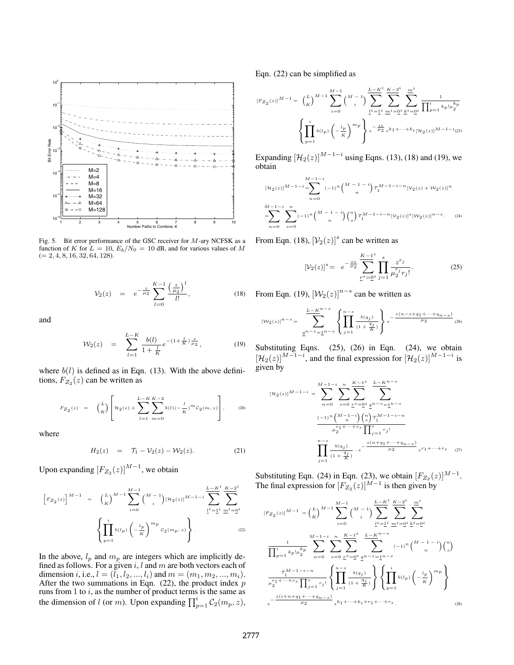

Fig. 5. Bit error performance of the GSC receiver for  $M$ -ary NCFSK as a function of K for  $L = 10$ ,  $E_b/N_0 = 10$  dB, and for various values of M  $(= 2, 4, 8, 16, 32, 64, 128).$ 

$$
\mathcal{V}_2(z) = e^{-\frac{z}{\mu_2}} \sum_{l=0}^{K-1} \frac{\left(\frac{z}{\mu_2}\right)^l}{l!},\tag{18}
$$

and

$$
\mathcal{W}_2(z) = \sum_{l=1}^{L-K} \frac{b(l)}{1 + \frac{l}{K}} e^{-(1 + \frac{l}{K})\frac{z}{\mu_2}}, \tag{19}
$$

where  $b(l)$  is defined as in Eqn. (13). With the above definitions,  $F_{Z_2}(z)$  can be written as

$$
F_{Z_2}(z) = {L \choose K} \left[ \mathcal{H}_2(z) + \sum_{l=1}^{L-K} \sum_{m=0}^{K-2} b(l) (-\frac{l}{K})^m c_2(m, z) \right],
$$
 (20)

where

$$
H_2(z) = \mathcal{T}_1 - \mathcal{V}_2(z) - \mathcal{W}_2(z). \tag{21}
$$

Upon expanding  $[F_{Z_2}(z)]^{M-1}$ , we obtain

$$
\left[F_{Z_2}(z)\right]^{M-1} = \left(\frac{L}{K}\right)^{M-1} \sum_{i=0}^{M-1} {M-1 \choose i} [\mathcal{H}_2(z)]^{M-1-i} \sum_{\underline{l}^i = \underline{l}^i}^{L-K^i} \sum_{\underline{m}^i = \underline{0}^i}^{K-2^i}
$$

$$
\left\{\prod_{p=1}^i b(l_p) \left(-\frac{l_p}{K}\right)^{m_p} c_2(m_p, z)\right\}.
$$
 (22)

In the above,  $l_p$  and  $m_p$  are integers which are implicitly defined as follows. For a given  $i, l$  and  $m$  are both vectors each of dimension i, i.e.,  $l = (\bar{l}_1, l_2, ..., l_i)$  and  $m = (m_1, m_2, ..., m_i)$ . After the two summations in Eqn.  $(22)$ , the product index p runs from 1 to  $i$ , as the number of product terms is the same as the dimension of l (or m). Upon expanding  $\prod_{p=1}^{i} C_2(m_p, z)$ ,

Eqn. (22) can be simplified as

$$
[F_{Z_2}(z)]^{M-1} = {L \choose K}^{M-1} \sum_{i=0}^{M-1} {M-1 \choose i} \underbrace{\sum_{l^i=1}^{L-K^i}}_{l^i=1} \underbrace{\sum_{m^i=0}^{K-2^i}}_{m^i=0} \underbrace{\sum_{k^i=0}^{m^i}}_{l^i=1} \frac{1}{\prod_{p=1}^i k_p! \mu_2^{k_p}}
$$

$$
\left\{ \prod_{p=1}^i b(l_p) \left( -\frac{l_p}{K} \right)^{m_p} \right\} e^{-\frac{iz}{\mu_2} z^{k_1 + \dots + k_i} [\mathcal{H}_2(z)]^{M-1-i} (23)}
$$

Expanding  $[\mathcal{H}_2(z)]^{M-1-i}$  using Eqns. (13), (18) and (19), we obtain

$$
[\mathcal{H}_2(z)]^{M-1-i} = \sum_{n=0}^{M-1-i} (-1)^n \binom{M-1-i}{n} \mathcal{T}_1^{M-1-i-n} [\mathcal{V}_2(z) + \mathcal{W}_2(z)]^n
$$
  

$$
= \sum_{n=0}^{M-1-i} \sum_{s=0}^n (-1)^n \binom{M-1-i}{n} \binom{n}{s} \mathcal{T}_1^{M-1-i-n} [\mathcal{V}_2(z)]^s [\mathcal{W}_2(z)]^{n-s}.
$$
 (24)

From Eqn. (18),  $[\mathcal{V}_2(z)]^s$  can be written as

$$
[\mathcal{V}_2(z)]^s = e^{-\frac{s z}{\mu_2}} \sum_{r^s = 0^s}^{K-1^s} \prod_{j=1}^s \frac{z^{r_j}}{\mu_2^{r_j} r_j!}.
$$
 (25)

From Eqn. (19),  $[\mathcal{W}_2(z)]^{n-s}$  can be written as

$$
[W_2(z)]^{n-s} = \sum_{\underline{q}^{n-s} = \underline{1}^{n-s}}^{L-K^{n-s}} \left\{ \prod_{j=1}^{n-s} \frac{b(q_j)}{(1 + \frac{q_j}{K})} \right\} e^{-\frac{z(n-s+q_1 + \dots + q_{n-s})}{\mu_2}} \tag{26}
$$

Substituting Eqns. (25), (26) in Eqn. (24), we obtain  $\left[\mathcal{H}_2(z)\right]^{M-1-i}$ , and the final expression for  $\left[\mathcal{H}_2(z)\right]^{M-1-i}$  is given by given by

$$
[\mathcal{H}_2(z)]^{M-1-i} = \sum_{n=0}^{M-1-i} \sum_{s=0}^n \sum_{\substack{r^s=0^s \\ n \equiv 0}}^n \sum_{\substack{n-s=1 \ n-s}}^{\frac{L-K^{n-s}}{2}} \sum_{\substack{m-s=1 \ n-s}}^{\frac{L-K^{n-s}}{2}} \sum_{\substack{n \equiv 1 \ n \equiv 0}}^n \sum_{\substack{n=0 \ n \equiv 1 \ n \equiv 1}}^n \frac{(-1)^n \binom{M-1-i}{n} \binom{n}{s} \binom{M-1-i-n}{n}}{\binom{m-s}{j} \binom{m-s}{j}}}{\prod_{j=1}^n \frac{b(q_j)}{(1+\frac{q_j}{K})}} \sum_{\substack{e = \frac{z(n+q_1+\cdots+q_{n-s})}{\mu_2} z^{r_1+\cdots+r_s} \ (27)}
$$

Substituting Eqn. (24) in Eqn. (23), we obtain  $[F_{Z_2}(z)]^{M-1}$ .<br>The final expression for  $[F_{Z_2}(z)]^{M-1}$  is then given by The final expression for  $[F_{Z_2}(z)]^{M-1}$  is then given by

$$
[F_{Z_2}(z)]^{M-1} = {L \choose K}^{M-1} \sum_{i=0}^{M-1} {M-1 \choose i} \sum_{\underline{i}^i = \underline{1}^i}^{L - K^i} \sum_{\underline{m}^i = \underline{0}^i}^{K - 2^i} \sum_{\underline{k}^i = \underline{0}^i}^{m^i}
$$

$$
\frac{1}{\prod_{p=1}^i k_p! \mu_2^{k_p}} \sum_{n=0}^{M-1-i} \sum_{s=0}^n \sum_{\underline{r}^s = \underline{0}^s}^{K - 1^s} \sum_{\underline{m}^s = \underline{1}^n - s}^{L - K^{n-s}} (-1)^n {M - 1 - i \choose n} {n \choose s}
$$

$$
\frac{\tau_1^{M-1-i-n}}{\mu_2^{r_1 + \dots + r_s} \prod_{j=1}^s r_j!} \left\{ \prod_{j=1}^{n-s} \frac{b(q_j)}{(1 + \frac{q_j}{K})} \right\} \left\{ \prod_{p=1}^i b(l_p) \left( -\frac{l_p}{K} \right)^{m_p} \right\}
$$

$$
e^{-\frac{z(i+n+q_1 + \dots + q_{n-s})}{\mu_2} z^{k_1 + \dots + k_i + r_1 + \dots + r_s}.
$$
(28)